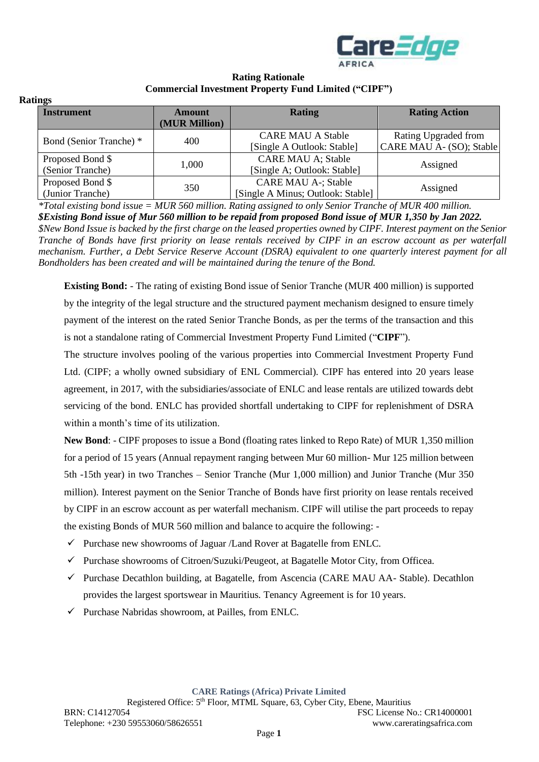

### **Rating Rationale Commercial Investment Property Fund Limited ("CIPF")**

| Ratings |
|---------|
|---------|

| шеэ                                                 |       |                                   |                          |  |
|-----------------------------------------------------|-------|-----------------------------------|--------------------------|--|
| <b>Instrument</b><br><b>Amount</b><br>(MUR Million) |       | <b>Rating</b>                     | <b>Rating Action</b>     |  |
| Bond (Senior Tranche) *                             | 400   | <b>CARE MAU A Stable</b>          | Rating Upgraded from     |  |
|                                                     |       | [Single A Outlook: Stable]        | CARE MAU A- (SO); Stable |  |
| Proposed Bond \$                                    | 1,000 | <b>CARE MAU A; Stable</b>         | Assigned                 |  |
| (Senior Tranche)                                    |       | [Single A; Outlook: Stable]       |                          |  |
| Proposed Bond \$                                    | 350   | <b>CARE MAU A-; Stable</b>        |                          |  |
| (Junior Tranche)                                    |       | [Single A Minus; Outlook: Stable] | Assigned                 |  |

*\*Total existing bond issue = MUR 560 million. Rating assigned to only Senior Tranche of MUR 400 million. \$Existing Bond issue of Mur 560 million to be repaid from proposed Bond issue of MUR 1,350 by Jan 2022. \$New Bond Issue is backed by the first charge on the leased properties owned by CIPF. Interest payment on the Senior Tranche of Bonds have first priority on lease rentals received by CIPF in an escrow account as per waterfall mechanism. Further, a Debt Service Reserve Account (DSRA) equivalent to one quarterly interest payment for all Bondholders has been created and will be maintained during the tenure of the Bond.*

**Existing Bond:** - The rating of existing Bond issue of Senior Tranche (MUR 400 million) is supported by the integrity of the legal structure and the structured payment mechanism designed to ensure timely payment of the interest on the rated Senior Tranche Bonds, as per the terms of the transaction and this is not a standalone rating of Commercial Investment Property Fund Limited ("**CIPF**").

The structure involves pooling of the various properties into Commercial Investment Property Fund Ltd. (CIPF; a wholly owned subsidiary of ENL Commercial). CIPF has entered into 20 years lease agreement, in 2017, with the subsidiaries/associate of ENLC and lease rentals are utilized towards debt servicing of the bond. ENLC has provided shortfall undertaking to CIPF for replenishment of DSRA within a month's time of its utilization.

**New Bond**: - CIPF proposes to issue a Bond (floating rates linked to Repo Rate) of MUR 1,350 million for a period of 15 years (Annual repayment ranging between Mur 60 million- Mur 125 million between 5th -15th year) in two Tranches – Senior Tranche (Mur 1,000 million) and Junior Tranche (Mur 350 million). Interest payment on the Senior Tranche of Bonds have first priority on lease rentals received by CIPF in an escrow account as per waterfall mechanism. CIPF will utilise the part proceeds to repay the existing Bonds of MUR 560 million and balance to acquire the following: -

- $\checkmark$  Purchase new showrooms of Jaguar /Land Rover at Bagatelle from ENLC.
- $\checkmark$  Purchase showrooms of Citroen/Suzuki/Peugeot, at Bagatelle Motor City, from Officea.
- ✓ Purchase Decathlon building, at Bagatelle, from Ascencia (CARE MAU AA- Stable). Decathlon provides the largest sportswear in Mauritius. Tenancy Agreement is for 10 years.
- $\checkmark$  Purchase Nabridas showroom, at Pailles, from ENLC.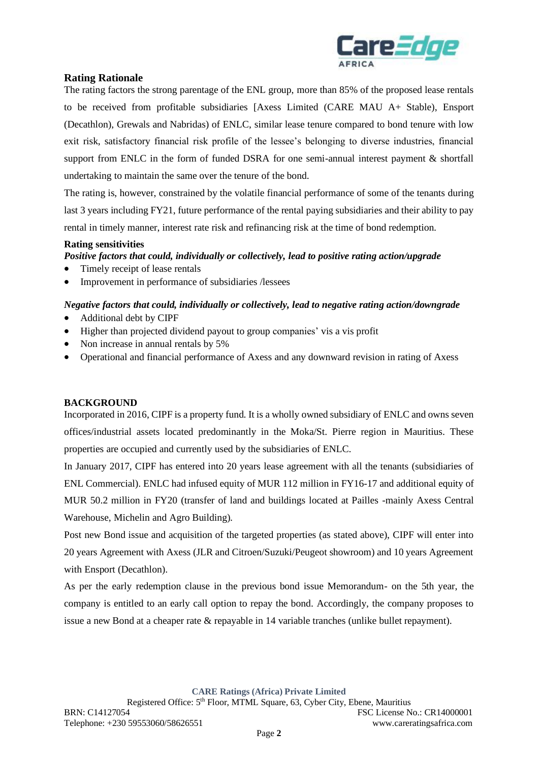

# **Rating Rationale**

The rating factors the strong parentage of the ENL group, more than 85% of the proposed lease rentals to be received from profitable subsidiaries [Axess Limited (CARE MAU A+ Stable), Ensport (Decathlon), Grewals and Nabridas) of ENLC, similar lease tenure compared to bond tenure with low exit risk, satisfactory financial risk profile of the lessee's belonging to diverse industries, financial support from ENLC in the form of funded DSRA for one semi-annual interest payment & shortfall undertaking to maintain the same over the tenure of the bond.

The rating is, however, constrained by the volatile financial performance of some of the tenants during last 3 years including FY21, future performance of the rental paying subsidiaries and their ability to pay rental in timely manner, interest rate risk and refinancing risk at the time of bond redemption.

## **Rating sensitivities**

*Positive factors that could, individually or collectively, lead to positive rating action/upgrade* 

- Timely receipt of lease rentals
- Improvement in performance of subsidiaries /lessees

## *Negative factors that could, individually or collectively, lead to negative rating action/downgrade*

- Additional debt by CIPF
- Higher than projected dividend payout to group companies' vis a vis profit
- Non increase in annual rentals by 5%
- Operational and financial performance of Axess and any downward revision in rating of Axess

#### **BACKGROUND**

Incorporated in 2016, CIPF is a property fund. It is a wholly owned subsidiary of ENLC and owns seven offices/industrial assets located predominantly in the Moka/St. Pierre region in Mauritius. These properties are occupied and currently used by the subsidiaries of ENLC.

In January 2017, CIPF has entered into 20 years lease agreement with all the tenants (subsidiaries of ENL Commercial). ENLC had infused equity of MUR 112 million in FY16-17 and additional equity of MUR 50.2 million in FY20 (transfer of land and buildings located at Pailles -mainly Axess Central Warehouse, Michelin and Agro Building).

Post new Bond issue and acquisition of the targeted properties (as stated above), CIPF will enter into 20 years Agreement with Axess (JLR and Citroen/Suzuki/Peugeot showroom) and 10 years Agreement with Ensport (Decathlon).

As per the early redemption clause in the previous bond issue Memorandum- on the 5th year, the company is entitled to an early call option to repay the bond. Accordingly, the company proposes to issue a new Bond at a cheaper rate & repayable in 14 variable tranches (unlike bullet repayment).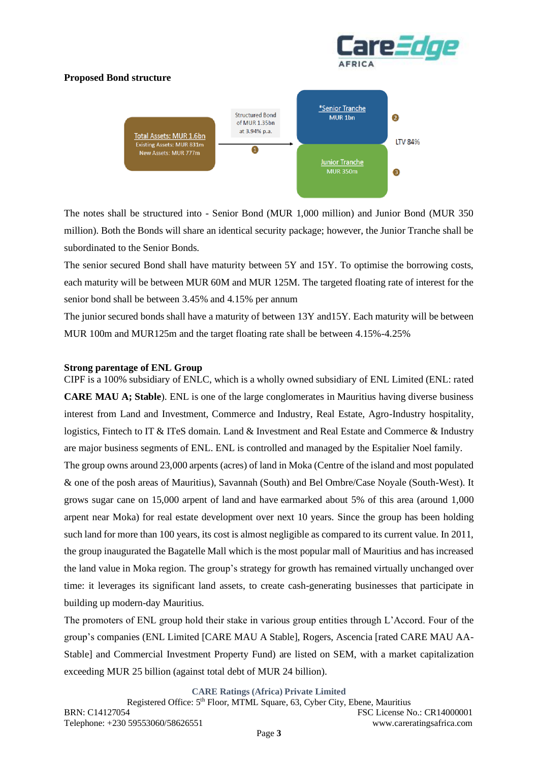## **Proposed Bond structure**





The notes shall be structured into - Senior Bond (MUR 1,000 million) and Junior Bond (MUR 350 million). Both the Bonds will share an identical security package; however, the Junior Tranche shall be subordinated to the Senior Bonds.

The senior secured Bond shall have maturity between 5Y and 15Y. To optimise the borrowing costs, each maturity will be between MUR 60M and MUR 125M. The targeted floating rate of interest for the senior bond shall be between 3.45% and 4.15% per annum

The junior secured bonds shall have a maturity of between 13Y and15Y. Each maturity will be between MUR 100m and MUR125m and the target floating rate shall be between 4.15%-4.25%

#### **Strong parentage of ENL Group**

CIPF is a 100% subsidiary of ENLC, which is a wholly owned subsidiary of ENL Limited (ENL: rated **CARE MAU A; Stable**). ENL is one of the large conglomerates in Mauritius having diverse business interest from Land and Investment, Commerce and Industry, Real Estate, Agro-Industry hospitality, logistics, Fintech to IT & ITeS domain. Land & Investment and Real Estate and Commerce & Industry are major business segments of ENL. ENL is controlled and managed by the Espitalier Noel family.

The group owns around 23,000 arpents (acres) of land in Moka (Centre of the island and most populated & one of the posh areas of Mauritius), Savannah (South) and Bel Ombre/Case Noyale (South-West). It grows sugar cane on 15,000 arpent of land and have earmarked about 5% of this area (around 1,000 arpent near Moka) for real estate development over next 10 years. Since the group has been holding such land for more than 100 years, its cost is almost negligible as compared to its current value. In 2011, the group inaugurated the Bagatelle Mall which is the most popular mall of Mauritius and has increased the land value in Moka region. The group's strategy for growth has remained virtually unchanged over time: it leverages its significant land assets, to create cash-generating businesses that participate in building up modern-day Mauritius.

The promoters of ENL group hold their stake in various group entities through L'Accord. Four of the group's companies (ENL Limited [CARE MAU A Stable], Rogers, Ascencia [rated CARE MAU AA-Stable] and Commercial Investment Property Fund) are listed on SEM, with a market capitalization exceeding MUR 25 billion (against total debt of MUR 24 billion).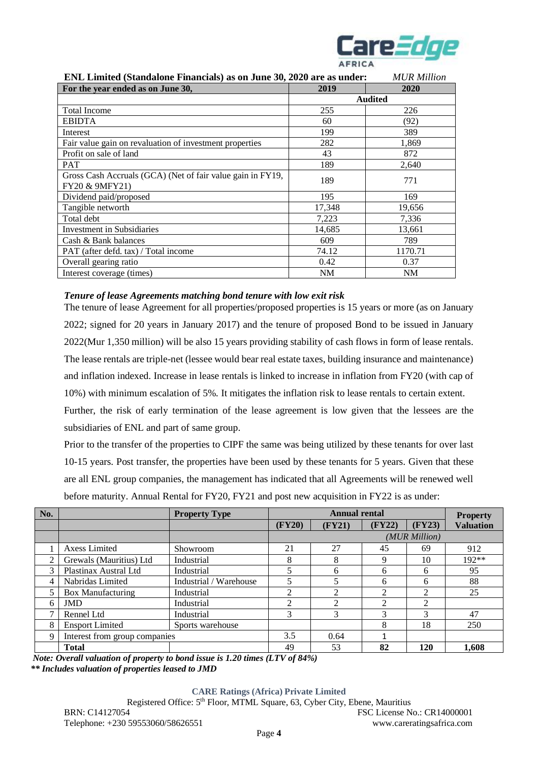

| ENL Limited (Standalone Financials) as on June 30, 2020 are as under:        |           | <b>MUR</b> Million |
|------------------------------------------------------------------------------|-----------|--------------------|
| For the year ended as on June 30,                                            | 2019      | 2020               |
|                                                                              |           | <b>Audited</b>     |
| <b>Total Income</b>                                                          | 255       | 226                |
| <b>EBIDTA</b>                                                                | 60        | (92)               |
| Interest                                                                     | 199       | 389                |
| Fair value gain on revaluation of investment properties                      | 282       | 1,869              |
| Profit on sale of land                                                       | 43        | 872                |
| <b>PAT</b>                                                                   | 189       | 2,640              |
| Gross Cash Accruals (GCA) (Net of fair value gain in FY19,<br>FY20 & 9MFY21) | 189       | 771                |
| Dividend paid/proposed                                                       | 195       | 169                |
| Tangible networth                                                            | 17,348    | 19,656             |
| Total debt                                                                   | 7,223     | 7,336              |
| Investment in Subsidiaries                                                   | 14,685    | 13,661             |
| Cash & Bank balances                                                         | 609       | 789                |
| PAT (after defd. tax) / Total income                                         | 74.12     | 1170.71            |
| Overall gearing ratio                                                        | 0.42      | 0.37               |
| Interest coverage (times)                                                    | <b>NM</b> | NM                 |

## *Tenure of lease Agreements matching bond tenure with low exit risk*

The tenure of lease Agreement for all properties/proposed properties is 15 years or more (as on January 2022; signed for 20 years in January 2017) and the tenure of proposed Bond to be issued in January 2022(Mur 1,350 million) will be also 15 years providing stability of cash flows in form of lease rentals. The lease rentals are triple-net (lessee would bear real estate taxes, building insurance and maintenance) and inflation indexed. Increase in lease rentals is linked to increase in inflation from FY20 (with cap of 10%) with minimum escalation of 5%. It mitigates the inflation risk to lease rentals to certain extent.

Further, the risk of early termination of the lease agreement is low given that the lessees are the subsidiaries of ENL and part of same group.

Prior to the transfer of the properties to CIPF the same was being utilized by these tenants for over last 10-15 years. Post transfer, the properties have been used by these tenants for 5 years. Given that these are all ENL group companies, the management has indicated that all Agreements will be renewed well before maturity. Annual Rental for FY20, FY21 and post new acquisition in FY22 is as under:

| No.            |                               | <b>Property Type</b>   | <b>Annual rental</b> |                |        |               | <b>Property</b>  |
|----------------|-------------------------------|------------------------|----------------------|----------------|--------|---------------|------------------|
|                |                               |                        | (FY20)               | (FY21)         | (FY22) | (FY23)        | <b>Valuation</b> |
|                |                               |                        |                      |                |        | (MUR Million) |                  |
|                | <b>Axess Limited</b>          | Showroom               | 21                   | 27             | 45     | 69            | 912              |
| 2              | Grewals (Mauritius) Ltd       | Industrial             | 8                    | 8              | 9      | 10            | $192**$          |
| 3              | Plastinax Austral Ltd         | Industrial             |                      | 6              | 6      | 6             | 95               |
| $\overline{4}$ | Nabridas Limited              | Industrial / Warehouse |                      | 5              | 6      | 6             | 88               |
|                | <b>Box Manufacturing</b>      | Industrial             | 2                    | $\overline{2}$ | 2      | ∍             | 25               |
| 6              | <b>JMD</b>                    | Industrial             | ◠                    | $\mathfrak{D}$ | C      | 2             |                  |
| ⇁              | Rennel Ltd                    | Industrial             | 3                    | 3              | 3      | 3             | 47               |
| 8              | <b>Ensport Limited</b>        | Sports warehouse       |                      |                | 8      | 18            | 250              |
| 9              | Interest from group companies |                        | 3.5                  | 0.64           | 1      |               |                  |
|                | <b>Total</b>                  |                        | 49                   | 53             | 82     | 120           | 1,608            |

 *Note: Overall valuation of property to bond issue is 1.20 times (LTV of 84%) \*\* Includes valuation of properties leased to JMD*

#### **CARE Ratings (Africa) Private Limited**

Registered Office: 5<sup>th</sup> Floor, MTML Square, 63, Cyber City, Ebene, Mauritius BRN: C14127054 FSC License No.: CR14000001 Telephone: +230 59553060/58626551 www.careratingsafrica.com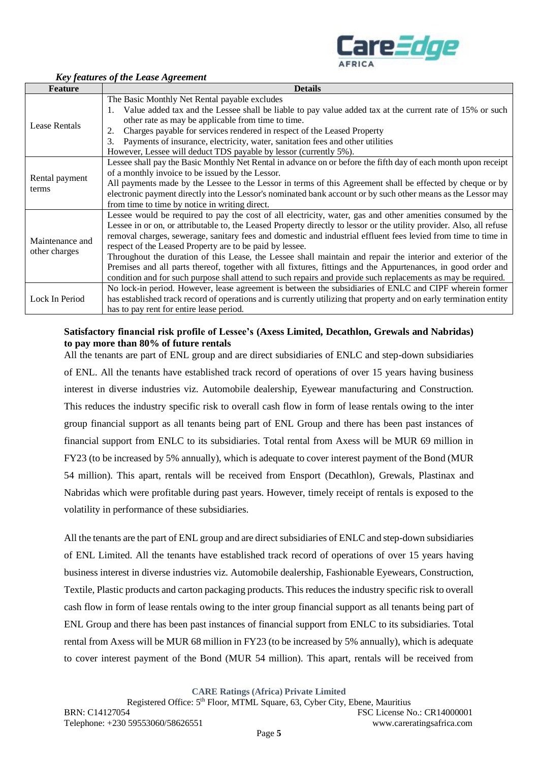

| <b>Feature</b>  | <b>Details</b>                                                                                                        |
|-----------------|-----------------------------------------------------------------------------------------------------------------------|
|                 | The Basic Monthly Net Rental payable excludes                                                                         |
| Lease Rentals   | Value added tax and the Lessee shall be liable to pay value added tax at the current rate of 15% or such<br>1.        |
|                 | other rate as may be applicable from time to time.                                                                    |
|                 | Charges payable for services rendered in respect of the Leased Property<br>2.                                         |
|                 | Payments of insurance, electricity, water, sanitation fees and other utilities<br>3.                                  |
|                 | However, Lessee will deduct TDS payable by lessor (currently 5%).                                                     |
|                 | Lessee shall pay the Basic Monthly Net Rental in advance on or before the fifth day of each month upon receipt        |
| Rental payment  | of a monthly invoice to be issued by the Lessor.                                                                      |
| terms           | All payments made by the Lessee to the Lessor in terms of this Agreement shall be effected by cheque or by            |
|                 | electronic payment directly into the Lessor's nominated bank account or by such other means as the Lessor may         |
|                 | from time to time by notice in writing direct.                                                                        |
|                 | Lessee would be required to pay the cost of all electricity, water, gas and other amenities consumed by the           |
|                 | Lessee in or on, or attributable to, the Leased Property directly to lessor or the utility provider. Also, all refuse |
| Maintenance and | removal charges, sewerage, sanitary fees and domestic and industrial effluent fees levied from time to time in        |
| other charges   | respect of the Leased Property are to be paid by lessee.                                                              |
|                 | Throughout the duration of this Lease, the Lessee shall maintain and repair the interior and exterior of the          |
|                 | Premises and all parts thereof, together with all fixtures, fittings and the Appurtenances, in good order and         |
|                 | condition and for such purpose shall attend to such repairs and provide such replacements as may be required.         |
|                 | No lock-in period. However, lease agreement is between the subsidiaries of ENLC and CIPF wherein former               |
| Lock In Period  | has established track record of operations and is currently utilizing that property and on early termination entity   |
|                 | has to pay rent for entire lease period.                                                                              |

### *Key features of the Lease Agreement*

### **Satisfactory financial risk profile of Lessee's (Axess Limited, Decathlon, Grewals and Nabridas) to pay more than 80% of future rentals**

All the tenants are part of ENL group and are direct subsidiaries of ENLC and step-down subsidiaries of ENL. All the tenants have established track record of operations of over 15 years having business interest in diverse industries viz. Automobile dealership, Eyewear manufacturing and Construction. This reduces the industry specific risk to overall cash flow in form of lease rentals owing to the inter group financial support as all tenants being part of ENL Group and there has been past instances of financial support from ENLC to its subsidiaries. Total rental from Axess will be MUR 69 million in FY23 (to be increased by 5% annually), which is adequate to cover interest payment of the Bond (MUR 54 million). This apart, rentals will be received from Ensport (Decathlon), Grewals, Plastinax and Nabridas which were profitable during past years. However, timely receipt of rentals is exposed to the volatility in performance of these subsidiaries.

All the tenants are the part of ENL group and are direct subsidiaries of ENLC and step-down subsidiaries of ENL Limited. All the tenants have established track record of operations of over 15 years having business interest in diverse industries viz. Automobile dealership, Fashionable Eyewears, Construction, Textile, Plastic products and carton packaging products. This reduces the industry specific risk to overall cash flow in form of lease rentals owing to the inter group financial support as all tenants being part of ENL Group and there has been past instances of financial support from ENLC to its subsidiaries. Total rental from Axess will be MUR 68 million in FY23 (to be increased by 5% annually), which is adequate to cover interest payment of the Bond (MUR 54 million). This apart, rentals will be received from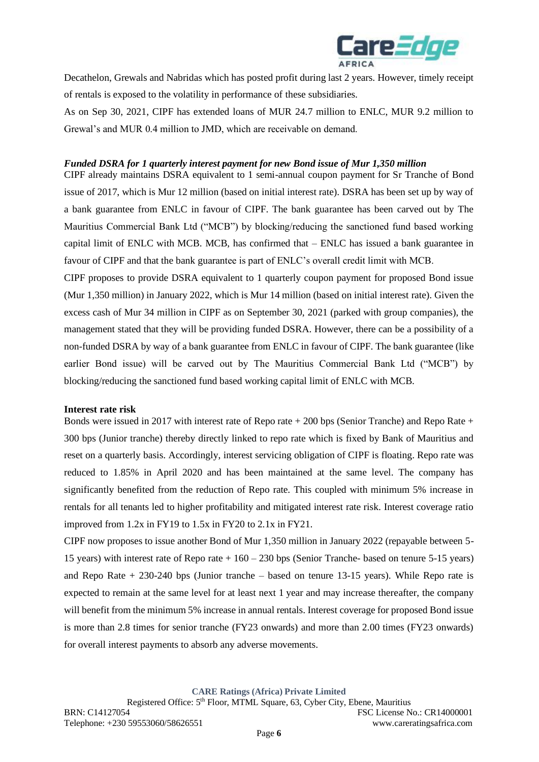

Decathelon, Grewals and Nabridas which has posted profit during last 2 years. However, timely receipt of rentals is exposed to the volatility in performance of these subsidiaries.

As on Sep 30, 2021, CIPF has extended loans of MUR 24.7 million to ENLC, MUR 9.2 million to Grewal's and MUR 0.4 million to JMD, which are receivable on demand.

#### *Funded DSRA for 1 quarterly interest payment for new Bond issue of Mur 1,350 million*

CIPF already maintains DSRA equivalent to 1 semi-annual coupon payment for Sr Tranche of Bond issue of 2017, which is Mur 12 million (based on initial interest rate). DSRA has been set up by way of a bank guarantee from ENLC in favour of CIPF. The bank guarantee has been carved out by The Mauritius Commercial Bank Ltd ("MCB") by blocking/reducing the sanctioned fund based working capital limit of ENLC with MCB. MCB, has confirmed that – ENLC has issued a bank guarantee in favour of CIPF and that the bank guarantee is part of ENLC's overall credit limit with MCB.

CIPF proposes to provide DSRA equivalent to 1 quarterly coupon payment for proposed Bond issue (Mur 1,350 million) in January 2022, which is Mur 14 million (based on initial interest rate). Given the excess cash of Mur 34 million in CIPF as on September 30, 2021 (parked with group companies), the management stated that they will be providing funded DSRA. However, there can be a possibility of a non-funded DSRA by way of a bank guarantee from ENLC in favour of CIPF. The bank guarantee (like earlier Bond issue) will be carved out by The Mauritius Commercial Bank Ltd ("MCB") by blocking/reducing the sanctioned fund based working capital limit of ENLC with MCB.

#### **Interest rate risk**

Bonds were issued in 2017 with interest rate of Repo rate + 200 bps (Senior Tranche) and Repo Rate + 300 bps (Junior tranche) thereby directly linked to repo rate which is fixed by Bank of Mauritius and reset on a quarterly basis. Accordingly, interest servicing obligation of CIPF is floating. Repo rate was reduced to 1.85% in April 2020 and has been maintained at the same level. The company has significantly benefited from the reduction of Repo rate. This coupled with minimum 5% increase in rentals for all tenants led to higher profitability and mitigated interest rate risk. Interest coverage ratio improved from 1.2x in FY19 to 1.5x in FY20 to 2.1x in FY21.

CIPF now proposes to issue another Bond of Mur 1,350 million in January 2022 (repayable between 5- 15 years) with interest rate of Repo rate + 160 – 230 bps (Senior Tranche- based on tenure 5-15 years) and Repo Rate  $+ 230-240$  bps (Junior tranche – based on tenure 13-15 years). While Repo rate is expected to remain at the same level for at least next 1 year and may increase thereafter, the company will benefit from the minimum 5% increase in annual rentals. Interest coverage for proposed Bond issue is more than 2.8 times for senior tranche (FY23 onwards) and more than 2.00 times (FY23 onwards) for overall interest payments to absorb any adverse movements.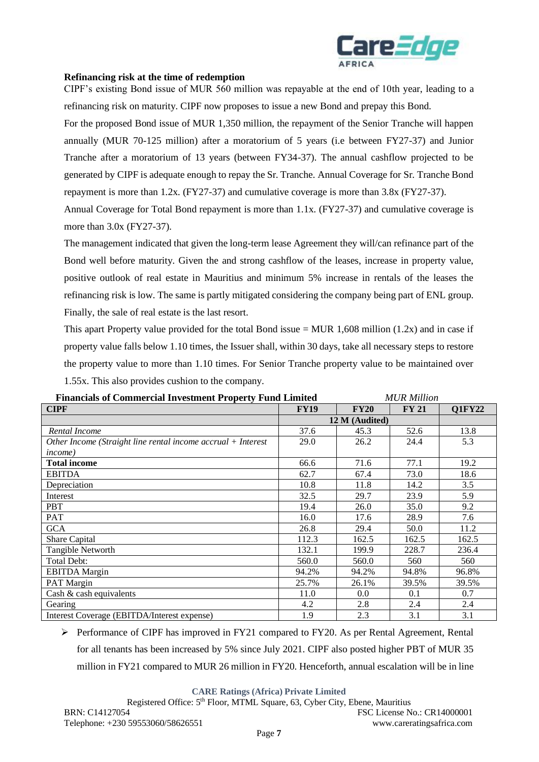

#### **Refinancing risk at the time of redemption**

CIPF's existing Bond issue of MUR 560 million was repayable at the end of 10th year, leading to a refinancing risk on maturity. CIPF now proposes to issue a new Bond and prepay this Bond.

For the proposed Bond issue of MUR 1,350 million, the repayment of the Senior Tranche will happen annually (MUR 70-125 million) after a moratorium of 5 years (i.e between FY27-37) and Junior Tranche after a moratorium of 13 years (between FY34-37). The annual cashflow projected to be generated by CIPF is adequate enough to repay the Sr. Tranche. Annual Coverage for Sr. Tranche Bond repayment is more than 1.2x. (FY27-37) and cumulative coverage is more than 3.8x (FY27-37).

Annual Coverage for Total Bond repayment is more than 1.1x. (FY27-37) and cumulative coverage is more than 3.0x (FY27-37).

The management indicated that given the long-term lease Agreement they will/can refinance part of the Bond well before maturity. Given the and strong cashflow of the leases, increase in property value, positive outlook of real estate in Mauritius and minimum 5% increase in rentals of the leases the refinancing risk is low. The same is partly mitigated considering the company being part of ENL group. Finally, the sale of real estate is the last resort.

This apart Property value provided for the total Bond issue  $= MUR$  1,608 million (1.2x) and in case if property value falls below 1.10 times, the Issuer shall, within 30 days, take all necessary steps to restore the property value to more than 1.10 times. For Senior Tranche property value to be maintained over 1.55x. This also provides cushion to the company.

| <b>Financials of Commercial Investment Property Fund Limited</b> |                |             | MUK Mullon   |               |
|------------------------------------------------------------------|----------------|-------------|--------------|---------------|
| <b>CIPF</b>                                                      | <b>FY19</b>    | <b>FY20</b> | <b>FY 21</b> | <b>Q1FY22</b> |
|                                                                  | 12 M (Audited) |             |              |               |
| Rental Income                                                    | 37.6           | 45.3        | 52.6         | 13.8          |
| Other Income (Straight line rental income accrual $+$ Interest   | 29.0           | 26.2        | 24.4         | 5.3           |
| <i>income</i> )                                                  |                |             |              |               |
| <b>Total income</b>                                              | 66.6           | 71.6        | 77.1         | 19.2          |
| <b>EBITDA</b>                                                    | 62.7           | 67.4        | 73.0         | 18.6          |
| Depreciation                                                     | 10.8           | 11.8        | 14.2         | 3.5           |
| Interest                                                         | 32.5           | 29.7        | 23.9         | 5.9           |
| <b>PBT</b>                                                       | 19.4           | 26.0        | 35.0         | 9.2           |
| <b>PAT</b>                                                       | 16.0           | 17.6        | 28.9         | 7.6           |
| <b>GCA</b>                                                       | 26.8           | 29.4        | 50.0         | 11.2          |
| Share Capital                                                    | 112.3          | 162.5       | 162.5        | 162.5         |
| Tangible Networth                                                | 132.1          | 199.9       | 228.7        | 236.4         |
| Total Debt:                                                      | 560.0          | 560.0       | 560          | 560           |
| <b>EBITDA</b> Margin                                             | 94.2%          | 94.2%       | 94.8%        | 96.8%         |
| PAT Margin                                                       | 25.7%          | 26.1%       | 39.5%        | 39.5%         |
| Cash & cash equivalents                                          | 11.0           | 0.0         | 0.1          | 0.7           |
| Gearing                                                          | 4.2            | 2.8         | 2.4          | 2.4           |
| Interest Coverage (EBITDA/Interest expense)                      | 1.9            | 2.3         | 3.1          | 3.1           |

| <b>Financials of Commercial Investment Property Fund Limited</b> | <b>MUR Million</b> |
|------------------------------------------------------------------|--------------------|
|                                                                  |                    |

➢ Performance of CIPF has improved in FY21 compared to FY20. As per Rental Agreement, Rental for all tenants has been increased by 5% since July 2021. CIPF also posted higher PBT of MUR 35 million in FY21 compared to MUR 26 million in FY20. Henceforth, annual escalation will be in line

#### **CARE Ratings (Africa) Private Limited**

Registered Office: 5<sup>th</sup> Floor, MTML Square, 63, Cyber City, Ebene, Mauritius BRN: C14127054 FSC License No.: CR14000001 Telephone: +230 59553060/58626551 www.careratingsafrica.com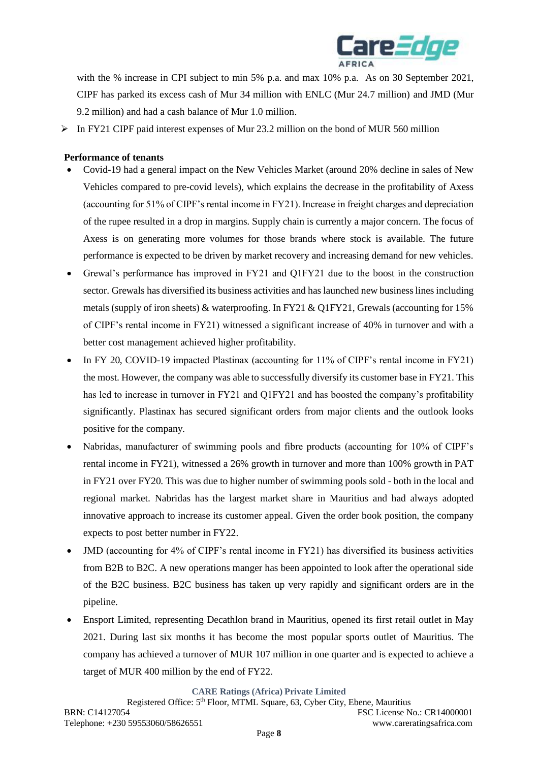

with the % increase in CPI subject to min 5% p.a. and max 10% p.a. As on 30 September 2021, CIPF has parked its excess cash of Mur 34 million with ENLC (Mur 24.7 million) and JMD (Mur 9.2 million) and had a cash balance of Mur 1.0 million.

 $\triangleright$  In FY21 CIPF paid interest expenses of Mur 23.2 million on the bond of MUR 560 million

## **Performance of tenants**

- Covid-19 had a general impact on the New Vehicles Market (around 20% decline in sales of New Vehicles compared to pre-covid levels), which explains the decrease in the profitability of Axess (accounting for 51% of CIPF's rental income in FY21). Increase in freight charges and depreciation of the rupee resulted in a drop in margins. Supply chain is currently a major concern. The focus of Axess is on generating more volumes for those brands where stock is available. The future performance is expected to be driven by market recovery and increasing demand for new vehicles.
- Grewal's performance has improved in FY21 and Q1FY21 due to the boost in the construction sector. Grewals has diversified its business activities and has launched new business lines including metals (supply of iron sheets) & waterproofing. In FY21 & Q1FY21, Grewals (accounting for 15% of CIPF's rental income in FY21) witnessed a significant increase of 40% in turnover and with a better cost management achieved higher profitability.
- In FY 20, COVID-19 impacted Plastinax (accounting for 11% of CIPF's rental income in FY21) the most. However, the company was able to successfully diversify its customer base in FY21. This has led to increase in turnover in FY21 and Q1FY21 and has boosted the company's profitability significantly. Plastinax has secured significant orders from major clients and the outlook looks positive for the company.
- Nabridas, manufacturer of swimming pools and fibre products (accounting for 10% of CIPF's rental income in FY21), witnessed a 26% growth in turnover and more than 100% growth in PAT in FY21 over FY20. This was due to higher number of swimming pools sold - both in the local and regional market. Nabridas has the largest market share in Mauritius and had always adopted innovative approach to increase its customer appeal. Given the order book position, the company expects to post better number in FY22.
- JMD (accounting for 4% of CIPF's rental income in FY21) has diversified its business activities from B2B to B2C. A new operations manger has been appointed to look after the operational side of the B2C business. B2C business has taken up very rapidly and significant orders are in the pipeline.
- Ensport Limited, representing Decathlon brand in Mauritius, opened its first retail outlet in May 2021. During last six months it has become the most popular sports outlet of Mauritius. The company has achieved a turnover of MUR 107 million in one quarter and is expected to achieve a target of MUR 400 million by the end of FY22.